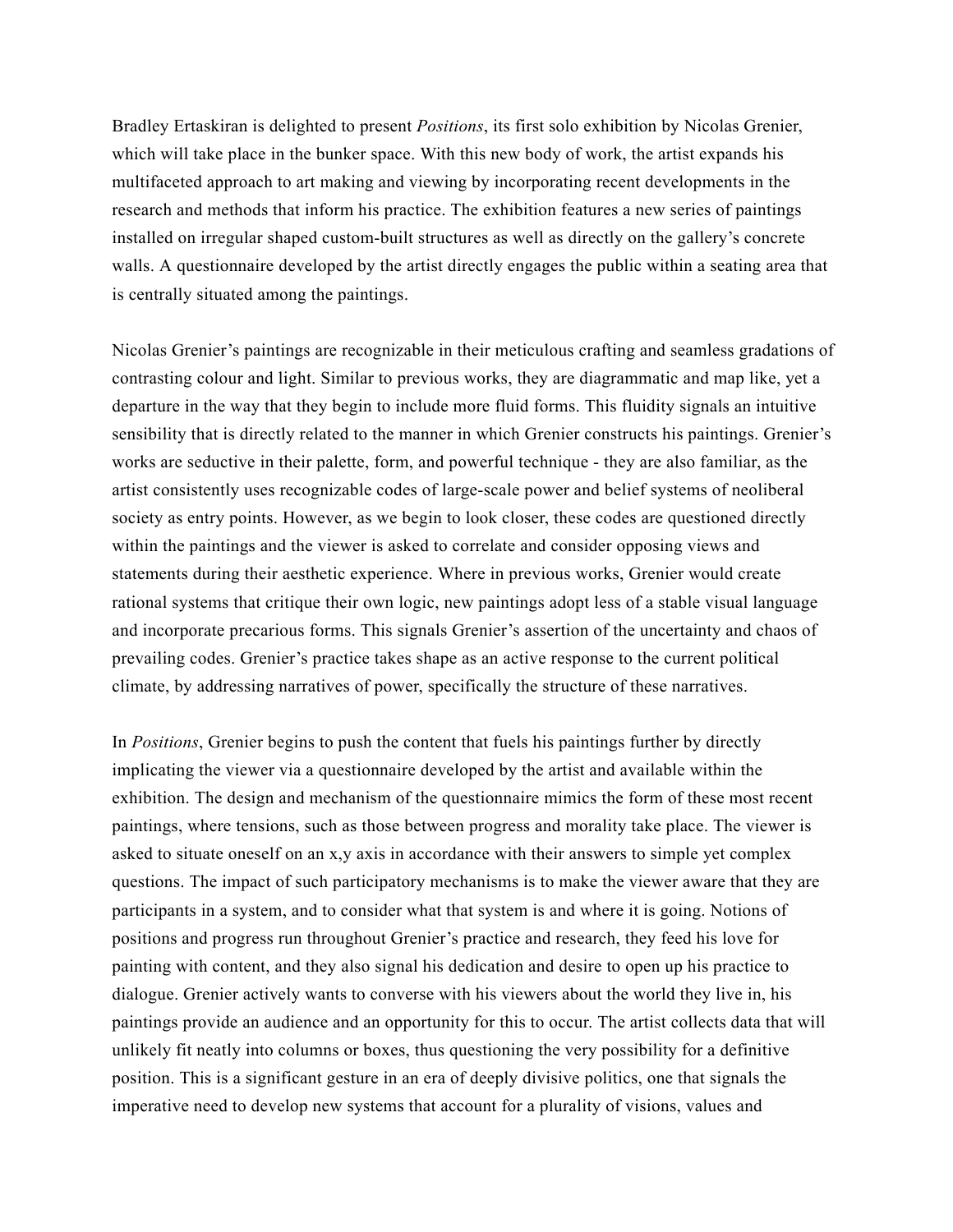Bradley Ertaskiran is delighted to present *Positions*, its first solo exhibition by Nicolas Grenier, which will take place in the bunker space. With this new body of work, the artist expands his multifaceted approach to art making and viewing by incorporating recent developments in the research and methods that inform his practice. The exhibition features a new series of paintings installed on irregular shaped custom-built structures as well as directly on the gallery's concrete walls. A questionnaire developed by the artist directly engages the public within a seating area that is centrally situated among the paintings.

Nicolas Grenier's paintings are recognizable in their meticulous crafting and seamless gradations of contrasting colour and light. Similar to previous works, they are diagrammatic and map like, yet a departure in the way that they begin to include more fluid forms. This fluidity signals an intuitive sensibility that is directly related to the manner in which Grenier constructs his paintings. Grenier's works are seductive in their palette, form, and powerful technique - they are also familiar, as the artist consistently uses recognizable codes of large-scale power and belief systems of neoliberal society as entry points. However, as we begin to look closer, these codes are questioned directly within the paintings and the viewer is asked to correlate and consider opposing views and statements during their aesthetic experience. Where in previous works, Grenier would create rational systems that critique their own logic, new paintings adopt less of a stable visual language and incorporate precarious forms. This signals Grenier's assertion of the uncertainty and chaos of prevailing codes. Grenier's practice takes shape as an active response to the current political climate, by addressing narratives of power, specifically the structure of these narratives.

In *Positions*, Grenier begins to push the content that fuels his paintings further by directly implicating the viewer via a questionnaire developed by the artist and available within the exhibition. The design and mechanism of the questionnaire mimics the form of these most recent paintings, where tensions, such as those between progress and morality take place. The viewer is asked to situate oneself on an x,y axis in accordance with their answers to simple yet complex questions. The impact of such participatory mechanisms is to make the viewer aware that they are participants in a system, and to consider what that system is and where it is going. Notions of positions and progress run throughout Grenier's practice and research, they feed his love for painting with content, and they also signal his dedication and desire to open up his practice to dialogue. Grenier actively wants to converse with his viewers about the world they live in, his paintings provide an audience and an opportunity for this to occur. The artist collects data that will unlikely fit neatly into columns or boxes, thus questioning the very possibility for a definitive position. This is a significant gesture in an era of deeply divisive politics, one that signals the imperative need to develop new systems that account for a plurality of visions, values and